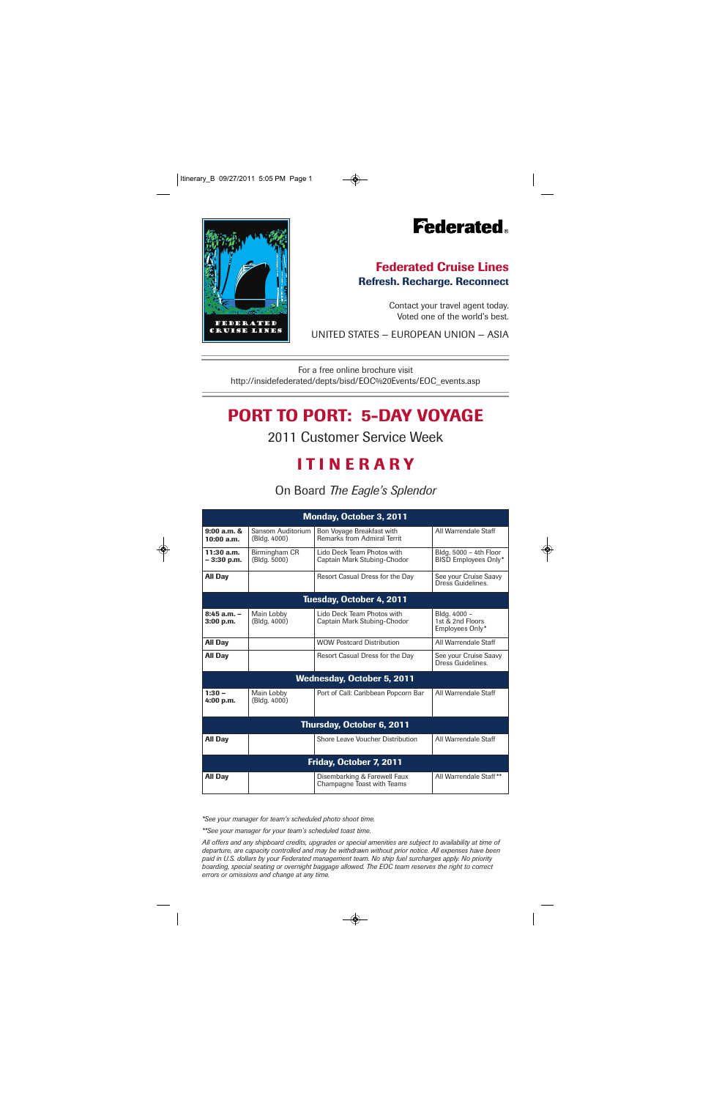Federated Cruise Lines

# **Federated**

#### **Federated Cruise Lines Refresh. Recharge. Reconnect**

Contact your travel agent today. Voted one of the world's best.

UNITED STATES — EUROPEAN UNION — ASIA

For a free online brochure visit http://insidefederated/depts/bisd/EOC%20Events/EOC\_events.asp

## **PORT TO PORT: 5-DAY VOYAGE**

2011 Customer Service Week

# **ITINERARY**

On Board *The Eagle's Splendor*

| Monday, October 3, 2011           |                                   |                                                                 |                                                       |  |
|-----------------------------------|-----------------------------------|-----------------------------------------------------------------|-------------------------------------------------------|--|
| 9:00a.m. &<br>10:00a.m.           | Sansom Auditorium<br>(Bldg. 4000) | Bon Voyage Breakfast with<br><b>Remarks from Admiral Territ</b> | All Warrendale Staff                                  |  |
| $11:30$ a.m.<br>$-3:30$ p.m.      | Birmingham CR<br>(Bldg. 5000)     | Lido Deck Team Photos with<br>Captain Mark Stubing-Chodor       | Bldg. 5000 - 4th Floor<br><b>BISD Employees Only*</b> |  |
| All Day                           |                                   | Resort Casual Dress for the Day                                 | See your Cruise Saavy<br>Dress Guidelines.            |  |
| Tuesday, October 4, 2011          |                                   |                                                                 |                                                       |  |
| $8:45$ a.m. $-$<br>$3:00$ p.m.    | Main Lobby<br>(Bldg. 4000)        | Lido Deck Team Photos with<br>Captain Mark Stubing-Chodor       | Bldg. 4000 -<br>1st & 2nd Floors<br>Employees Only*   |  |
| <b>All Day</b>                    |                                   | <b>WOW Postcard Distribution</b>                                | All Warrendale Staff                                  |  |
| All Day                           |                                   | Resort Casual Dress for the Day                                 | See your Cruise Saavy<br>Dress Guidelines             |  |
| <b>Wednesday, October 5, 2011</b> |                                   |                                                                 |                                                       |  |
| $1:30 -$<br>4:00 p.m.             | Main Lobby<br>(Bldg. 4000)        | Port of Call: Caribbean Popcorn Bar                             | All Warrendale Staff                                  |  |
| Thursday, October 6, 2011         |                                   |                                                                 |                                                       |  |
| <b>All Day</b>                    |                                   | Shore Leave Voucher Distribution                                | All Warrendale Staff                                  |  |
| Friday, October 7, 2011           |                                   |                                                                 |                                                       |  |
| <b>All Day</b>                    |                                   | Disembarking & Farewell Faux<br>Champagne Toast with Teams      | All Warrendale Staff**                                |  |

*\*See your manager for team's scheduled photo shoot time.*

*\*\*See your manager for your team's scheduled toast time.*

*All offers and any shipboard credits, upgrades or special amenities are subject to availability at time of departure, are capacity controlled and may be withdrawn without prior notice. All expenses have been paid in U.S. dollars by your Federated management team. No ship fuel surcharges apply. No priority boarding, special seating or overnight baggage allowed. The EOC team reserves the right to correct errors or omissions and change at any time.*

◈